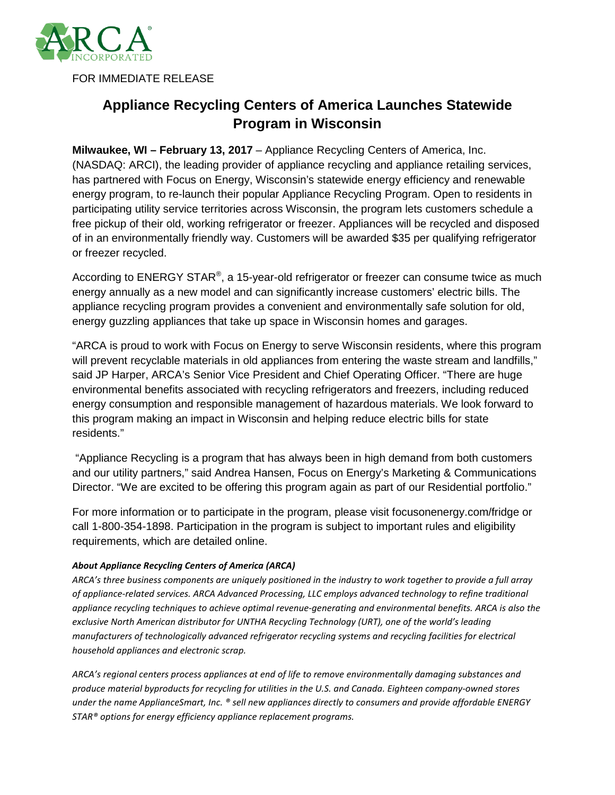

FOR IMMEDIATE RELEASE

## **Appliance Recycling Centers of America Launches Statewide Program in Wisconsin**

**Milwaukee, WI – February 13, 2017** – Appliance Recycling Centers of America, Inc. (NASDAQ: ARCI), the leading provider of appliance recycling and appliance retailing services, has partnered with Focus on Energy, Wisconsin's statewide energy efficiency and renewable energy program, to re-launch their popular Appliance Recycling Program. Open to residents in participating utility service territories across Wisconsin, the program lets customers schedule a free pickup of their old, working refrigerator or freezer. Appliances will be recycled and disposed of in an environmentally friendly way. Customers will be awarded \$35 per qualifying refrigerator or freezer recycled.

According to ENERGY STAR<sup>®</sup>, a 15-year-old refrigerator or freezer can consume twice as much energy annually as a new model and can significantly increase customers' electric bills. The appliance recycling program provides a convenient and environmentally safe solution for old, energy guzzling appliances that take up space in Wisconsin homes and garages.

"ARCA is proud to work with Focus on Energy to serve Wisconsin residents, where this program will prevent recyclable materials in old appliances from entering the waste stream and landfills," said JP Harper, ARCA's Senior Vice President and Chief Operating Officer. "There are huge environmental benefits associated with recycling refrigerators and freezers, including reduced energy consumption and responsible management of hazardous materials. We look forward to this program making an impact in Wisconsin and helping reduce electric bills for state residents."

"Appliance Recycling is a program that has always been in high demand from both customers and our utility partners," said Andrea Hansen, Focus on Energy's Marketing & Communications Director. "We are excited to be offering this program again as part of our Residential portfolio."

For more information or to participate in the program, please visit focusonenergy.com/fridge or call 1-800-354-1898. Participation in the program is subject to important rules and eligibility requirements, which are detailed online.

## *About Appliance Recycling Centers of America (ARCA)*

*ARCA's three business components are uniquely positioned in the industry to work together to provide a full array of appliance-related services. ARCA Advanced Processing, LLC employs advanced technology to refine traditional appliance recycling techniques to achieve optimal revenue-generating and environmental benefits. ARCA is also the exclusive North American distributor for UNTHA Recycling Technology (URT), one of the world's leading manufacturers of technologically advanced refrigerator recycling systems and recycling facilities for electrical household appliances and electronic scrap.* 

*ARCA's regional centers process appliances at end of life to remove environmentally damaging substances and produce material byproducts for recycling for utilities in the U.S. and Canada. Eighteen company-owned stores under the name ApplianceSmart, Inc. ® sell new appliances directly to consumers and provide affordable ENERGY STAR® options for energy efficiency appliance replacement programs.*